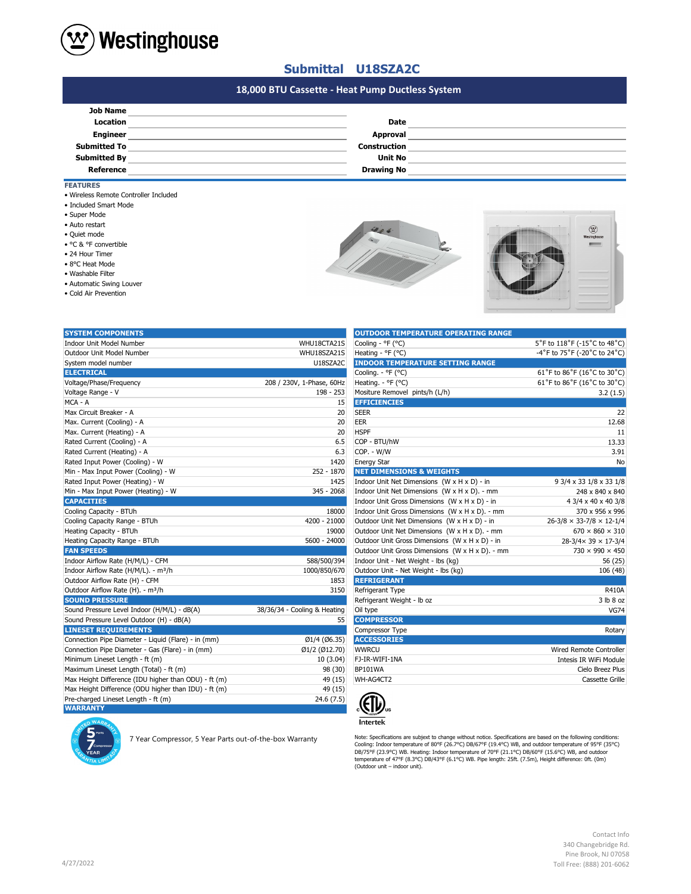

### **Submittal U18SZA2C**

# **#N/A #N/A 18,000 BTU Cassette - Heat Pump Ductless System**

| <b>Job Name</b>     |                     |  |
|---------------------|---------------------|--|
| Location            | <b>Date</b>         |  |
| <b>Engineer</b>     | Approval            |  |
| <b>Submitted To</b> | <b>Construction</b> |  |
| <b>Submitted By</b> | <b>Unit No</b>      |  |
| <b>Reference</b>    | <b>Drawing No</b>   |  |

#### **FEATURES**

- Wireless Remote Controller Included
- Included Smart Mode
- Super Mode
- Auto restart
- Quiet mode
- °C & °F convertible
- 24 Hour Timer
- 8°C Heat Mode
- Washable Filter
- Automatic Swing Louver
- Cold Air Prevention





| <b>SYSTEM COMPONENTS</b>                             |                              | <b>OUTDOOR TEMPERATURE OPERATING RANGE</b>      |                                            |
|------------------------------------------------------|------------------------------|-------------------------------------------------|--------------------------------------------|
| Indoor Unit Model Number                             | WHU18CTA21S                  | Cooling - °F (°C)                               | 5°F to 118°F (-15°C to 48°C)               |
| Outdoor Unit Model Number                            | WHU18SZA21S                  | Heating - °F (°C)                               | -4°F to 75°F (-20°C to 24°C)               |
| System model number                                  | U18SZA2C                     | <b>INDOOR TEMPERATURE SETTING RANGE</b>         |                                            |
| <b>ELECTRICAL</b>                                    |                              | Cooling. - °F (°C)                              | 61°F to 86°F (16°C to 30°C)                |
| Voltage/Phase/Frequency                              | 208 / 230V, 1-Phase, 60Hz    | Heating. - ${}^{\circ}$ F ( ${}^{\circ}$ C)     | 61°F to 86°F (16°C to 30°C)                |
| Voltage Range - V                                    | 198 - 253                    | Mositure Removel pints/h (L/h)                  | 3.2(1.5)                                   |
| MCA - A                                              | 15                           | <b>EFFICIENCIES</b>                             |                                            |
| Max Circuit Breaker - A                              | 20                           | <b>SEER</b>                                     | 22                                         |
| Max. Current (Cooling) - A                           | 20                           | EER                                             | 12.68                                      |
| Max. Current (Heating) - A                           | 20                           | <b>HSPF</b>                                     | 11                                         |
| Rated Current (Cooling) - A                          | 6.5                          | COP - BTU/hW                                    | 13.33                                      |
| Rated Current (Heating) - A                          | 6.3                          | COP. - W/W                                      | 3.91                                       |
| Rated Input Power (Cooling) - W                      | 1420                         | <b>Energy Star</b>                              | No                                         |
| Min - Max Input Power (Cooling) - W                  | 252 - 1870                   | <b>NET DIMENSIONS &amp; WEIGHTS</b>             |                                            |
| Rated Input Power (Heating) - W                      | 1425                         | Indoor Unit Net Dimensions (W x H x D) - in     | 9 3/4 x 33 1/8 x 33 1/8                    |
| Min - Max Input Power (Heating) - W                  | 345 - 2068                   | Indoor Unit Net Dimensions (W x H x D). - mm    | 248 x 840 x 840                            |
| <b>CAPACITIES</b>                                    |                              | Indoor Unit Gross Dimensions (W x H x D) - in   | 4 3/4 x 40 x 40 3/8                        |
| Cooling Capacity - BTUh                              | 18000                        | Indoor Unit Gross Dimensions (W x H x D). - mm  | 370 x 956 x 996                            |
| Cooling Capacity Range - BTUh                        | 4200 - 21000                 | Outdoor Unit Net Dimensions (W x H x D) - in    | $26 - 3/8 \times 33 - 7/8 \times 12 - 1/4$ |
| Heating Capacity - BTUh                              | 19000                        | Outdoor Unit Net Dimensions (W x H x D). - mm   | $670 \times 860 \times 310$                |
| Heating Capacity Range - BTUh                        | 5600 - 24000                 | Outdoor Unit Gross Dimensions (W x H x D) - in  | 28-3/4× 39 × 17-3/4                        |
| <b>FAN SPEEDS</b>                                    |                              | Outdoor Unit Gross Dimensions (W x H x D). - mm | 730 × 990 × 450                            |
| Indoor Airflow Rate (H/M/L) - CFM                    | 588/500/394                  | Indoor Unit - Net Weight - lbs (kg)             | 56 (25)                                    |
| Indoor Airflow Rate (H/M/L). - m <sup>3</sup> /h     | 1000/850/670                 | Outdoor Unit - Net Weight - Ibs (kg)            | 106 (48)                                   |
| Outdoor Airflow Rate (H) - CFM                       | 1853                         | <b>REFRIGERANT</b>                              |                                            |
| Outdoor Airflow Rate (H). - m <sup>3</sup> /h        | 3150                         | Refrigerant Type                                | <b>R410A</b>                               |
| <b>SOUND PRESSURE</b>                                |                              | Refrigerant Weight - Ib oz                      | 3 lb 8 oz                                  |
| Sound Pressure Level Indoor (H/M/L) - dB(A)          | 38/36/34 - Cooling & Heating | Oil type                                        | <b>VG74</b>                                |
| Sound Pressure Level Outdoor (H) - dB(A)             | 55                           | <b>COMPRESSOR</b>                               |                                            |
| <b>LINESET REQUIREMENTS</b>                          |                              | Compressor Type                                 | Rotary                                     |
| Connection Pipe Diameter - Liquid (Flare) - in (mm)  | Ø1/4 (Ø6.35)                 | <b>ACCESSORIES</b>                              |                                            |
| Connection Pipe Diameter - Gas (Flare) - in (mm)     | Ø1/2 (Ø12.70)                | <b>WWRCU</b>                                    | <b>Wired Remote Controller</b>             |
| Minimum Lineset Length - ft (m)                      | 10 (3.04)                    | FJ-IR-WIFI-1NA                                  | Intesis IR WiFi Module                     |
| Maximum Lineset Length (Total) - ft (m)              | 98 (30)                      | BP101WA                                         | Cielo Breez Plus                           |
| Max Height Difference (IDU higher than ODU) - ft (m) | 49 (15)                      | WH-AG4CT2                                       | Cassette Grille                            |
| Max Height Difference (ODU higher than IDU) - ft (m) | 49 (15)                      |                                                 |                                            |
| Pre-charged Lineset Length - ft (m)                  | 24.6 (7.5)                   |                                                 |                                            |
| <b>WARRANTY</b>                                      |                              | 시가.                                             |                                            |

7 Year Compressor, 5 Year Parts out-of-the-box Warranty

| <b>OUTDOOR TEMPERATURE OPERATING RANGE</b>      |                                      |
|-------------------------------------------------|--------------------------------------|
| Cooling - °F (°C)                               | 5°F to 118°F (-15°C to 48°C)         |
| Heating - °F (°C)                               | -4°F to 75°F (-20°C to 24°C)         |
| <b>INDOOR TEMPERATURE SETTING RANGE</b>         |                                      |
| Cooling. - °F (°C)                              | 61°F to 86°F (16°C to 30°C)          |
| Heating. - °F (°C)                              | 61°F to 86°F (16°C to 30°C)          |
| Mositure Removel pints/h (L/h)                  | 3.2(1.5)                             |
| <b>EFFICIENCIES</b>                             |                                      |
| <b>SEER</b>                                     | 22                                   |
| EER                                             | 12.68                                |
| <b>HSPF</b>                                     | 11                                   |
| COP - BTU/hW                                    | 13.33                                |
| COP. - W/W                                      | 3.91                                 |
| <b>Energy Star</b>                              | No                                   |
| <b>NET DIMENSIONS &amp; WEIGHTS</b>             |                                      |
| Indoor Unit Net Dimensions (W x H x D) - in     | 9 3/4 x 33 1/8 x 33 1/8              |
| Indoor Unit Net Dimensions (W x H x D). - mm    | 248 x 840 x 840                      |
| Indoor Unit Gross Dimensions (W x H x D) - in   | 4 3/4 x 40 x 40 3/8                  |
| Indoor Unit Gross Dimensions (W x H x D). - mm  | 370 x 956 x 996                      |
| Outdoor Unit Net Dimensions (W x H x D) - in    | $26-3/8 \times 33-7/8 \times 12-1/4$ |
| Outdoor Unit Net Dimensions (W x H x D). - mm   | $670 \times 860 \times 310$          |
| Outdoor Unit Gross Dimensions (W x H x D) - in  | $28-3/4 \times 39 \times 17-3/4$     |
| Outdoor Unit Gross Dimensions (W x H x D). - mm | $730 \times 990 \times 450$          |
| Indoor Unit - Net Weight - lbs (kg)             | 56 (25)                              |
| Outdoor Unit - Net Weight - Ibs (kg)            | 106 (48)                             |
| <b>REFRIGERANT</b>                              |                                      |
| Refrigerant Type                                | R410A                                |
| Refrigerant Weight - Ib oz                      | 3 lb 8 oz                            |
| Oil type                                        | <b>VG74</b>                          |
| <b>COMPRESSOR</b>                               |                                      |
| Compressor Type                                 | Rotary                               |
| <b>ACCESSORIES</b>                              |                                      |
| <b>WWRCU</b>                                    | Wired Remote Controller              |
| FJ-IR-WIFI-1NA                                  | Intesis IR WiFi Module               |
| BP101WA                                         | Cielo Breez Plus                     |
| WH-AG4CT2                                       | Cassette Grille                      |
|                                                 |                                      |



Note: Specifications are subjext to change without notice. Specifications are based on the following conditions:<br>Cooling: Indoor temperature of 80°F (26.7°C) DB/67°F (19.4°C) WB, and outdoor temperature of 95°F (35°C)<br>DB/7

#### Contact Info 340 Changebridge Rd. Pine Brook, NJ 07058 Toll Free: (888) 201-6062